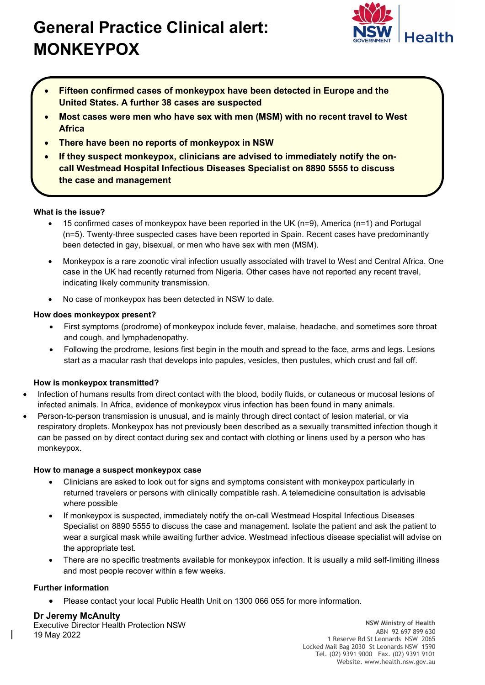# General Practice Clinical alert: MONKEYPOX



- Fifteen confirmed cases of monkeypox have been detected in Europe and the United States. A further 38 cases are suspected
- Most cases were men who have sex with men (MSM) with no recent travel to West Africa
- There have been no reports of monkeypox in NSW
- If they suspect monkeypox, clinicians are advised to immediately notify the oncall Westmead Hospital Infectious Diseases Specialist on 8890 5555 to discuss the case and management

## What is the issue?

- 15 confirmed cases of monkeypox have been reported in the UK (n=9), America (n=1) and Portugal (n=5). Twenty-three suspected cases have been reported in Spain. Recent cases have predominantly been detected in gay, bisexual, or men who have sex with men (MSM).
- Monkeypox is a rare zoonotic viral infection usually associated with travel to West and Central Africa. One case in the UK had recently returned from Nigeria. Other cases have not reported any recent travel, indicating likely community transmission.
- No case of monkeypox has been detected in NSW to date.

## How does monkeypox present?

- First symptoms (prodrome) of monkeypox include fever, malaise, headache, and sometimes sore throat and cough, and lymphadenopathy.
- Following the prodrome, lesions first begin in the mouth and spread to the face, arms and legs. Lesions start as a macular rash that develops into papules, vesicles, then pustules, which crust and fall off.

#### How is monkeypox transmitted?

- Infection of humans results from direct contact with the blood, bodily fluids, or cutaneous or mucosal lesions of infected animals. In Africa, evidence of monkeypox virus infection has been found in many animals.
- Person-to-person transmission is unusual, and is mainly through direct contact of lesion material, or via respiratory droplets. Monkeypox has not previously been described as a sexually transmitted infection though it can be passed on by direct contact during sex and contact with clothing or linens used by a person who has monkeypox.

#### How to manage a suspect monkeypox case

- Clinicians are asked to look out for signs and symptoms consistent with monkeypox particularly in returned travelers or persons with clinically compatible rash. A telemedicine consultation is advisable where possible
- If monkeypox is suspected, immediately notify the on-call Westmead Hospital Infectious Diseases Specialist on 8890 5555 to discuss the case and management. Isolate the patient and ask the patient to wear a surgical mask while awaiting further advice. Westmead infectious disease specialist will advise on the appropriate test.
- There are no specific treatments available for monkeypox infection. It is usually a mild self-limiting illness and most people recover within a few weeks.

# Further information

Please contact your local Public Health Unit on 1300 066 055 for more information.

# Dr Jeremy McAnulty

Executive Director Health Protection NSW 19 May 2022